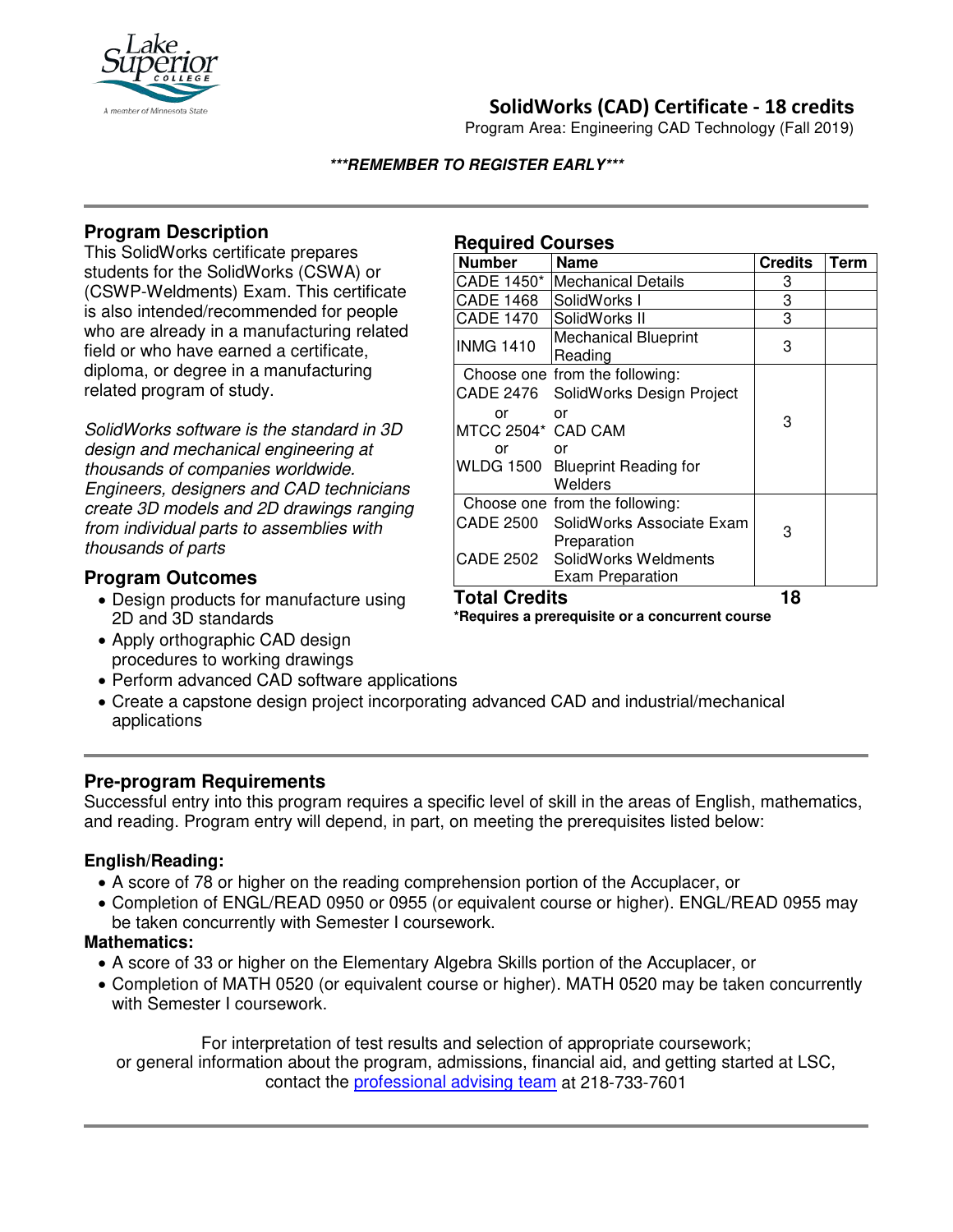

## **SolidWorks (CAD) Certificate - 18 credits**

Program Area: Engineering CAD Technology (Fall 2019)

#### **\*\*\*REMEMBER TO REGISTER EARLY\*\*\***

## **Program Description**

This SolidWorks certificate prepares students for the SolidWorks (CSWA) or (CSWP-Weldments) Exam. This certificate is also intended/recommended for people who are already in a manufacturing related field or who have earned a certificate, diploma, or degree in a manufacturing related program of study.

*SolidWorks software is the standard in 3D design and mechanical engineering at thousands of companies worldwide. Engineers, designers and CAD technicians create 3D models and 2D drawings ranging from individual parts to assemblies with thousands of parts*

### **Program Outcomes**

- Design products for manufacture using 2D and 3D standards
- Apply orthographic CAD design procedures to working drawings
- Perform advanced CAD software applications
- Create a capstone design project incorporating advanced CAD and industrial/mechanical applications

### **Pre-program Requirements**

Successful entry into this program requires a specific level of skill in the areas of English, mathematics, and reading. Program entry will depend, in part, on meeting the prerequisites listed below:

### **English/Reading:**

- A score of 78 or higher on the reading comprehension portion of the Accuplacer, or
- Completion of ENGL/READ 0950 or 0955 (or equivalent course or higher). ENGL/READ 0955 may be taken concurrently with Semester I coursework.

#### **Mathematics:**

- A score of 33 or higher on the Elementary Algebra Skills portion of the Accuplacer, or
- Completion of MATH 0520 (or equivalent course or higher). MATH 0520 may be taken concurrently with Semester I coursework.

For interpretation of test results and selection of appropriate coursework; or general information about the program, admissions, financial aid, and getting started at LSC, contact the [professional advising team](mailto:pat@lsc.edu) at 218-733-7601

# **Required Courses**

| <b>Number</b>        | <b>Name</b>                            | <b>Credits</b> | Term |
|----------------------|----------------------------------------|----------------|------|
| CADE 1450*           | lMechanical Details                    | 3              |      |
| <b>CADE 1468</b>     | SolidWorks I                           | 3              |      |
| <b>CADE 1470</b>     | SolidWorks II                          | 3              |      |
| <b>INMG 1410</b>     | <b>Mechanical Blueprint</b><br>Reading | 3              |      |
|                      | Choose one from the following:         |                |      |
|                      | CADE 2476 SolidWorks Design Project    |                |      |
| or                   | or                                     | 3              |      |
| MTCC 2504* CAD CAM   |                                        |                |      |
| or                   | or                                     |                |      |
|                      | WLDG 1500 Blueprint Reading for        |                |      |
|                      | Welders                                |                |      |
|                      | Choose one from the following:         |                |      |
|                      | CADE 2500 SolidWorks Associate Exam    | 3              |      |
|                      | Preparation                            |                |      |
|                      | CADE 2502 SolidWorks Weldments         |                |      |
|                      | <b>Exam Preparation</b>                |                |      |
| <b>Total Credits</b> |                                        | 18             |      |

**\*Requires a prerequisite or a concurrent course**